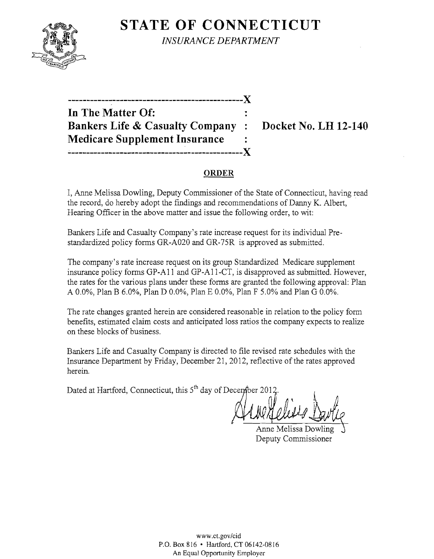

**STATE OF CONNECTICUT** *INSURANCE DEPARTMENT* 

| --------------                             |              |
|--------------------------------------------|--------------|
| In The Matter Of:                          |              |
| <b>Bankers Life &amp; Casualty Company</b> | $\mathbf{r}$ |
| <b>Medicare Supplement Insurance</b>       |              |
|                                            |              |

**Bocket No. LH 12-140** 

# **ORDER**

I, Anne Melissa Dowling, Deputy Commissioner of the State of Connecticut, having read the record, do hereby adopt the fIndings and recommendations of Danny K. Albert, Hearing Officer in the above matter and issue the following order, to wit:

Bankers Life and Casualty Company's rate increase request for its individual Prestandardized policy forms GR-A020 and GR-75R is approved as submitted.

The company's rate increase request on its group Standardized Medicare supplement insurance policy forms GP-A11 and GP-A11-CT, is disapproved as submitted. However, the rates for the various plans under these forms are granted the following approval: Plan A 0.0%, Plan B 6.0%, Plan D 0.0%, Plan E 0.0%, Plan F 5.0% and Plan G 0.0%.

The rate changes granted herein are considered reasonable in relation to the policy form benefits, estimated claim costs and anticipated loss ratios the company expects to realize on these blocks of business.

Bankers Life and Casualty Company is directed to fIle revised rate schedules with the Insurance Department by Friday, December 21, 2012, reflective of the rates approved herein.

Dated at Hartford, Connecticut, this  $5<sup>th</sup>$  day of December 2012

Anne Melissa Dowling Deputy Commissioner

WWW.CLgov/cid P.O. Box 816 • Hartford, CT 06142-0816 An Equal Opportunity Employer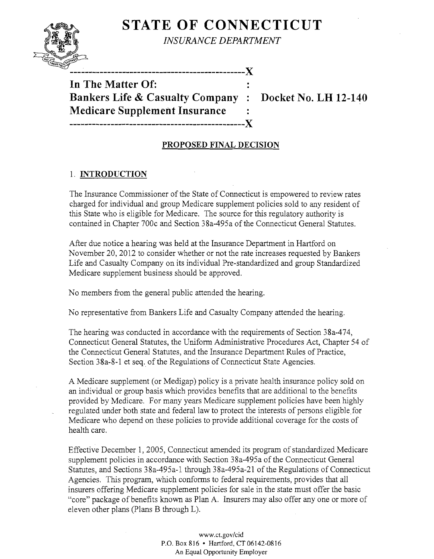# **STATE OF CONNECTICUT**



*INSURANCE DEPARTMENT* 

**-----------------------------------------------)(** 

**In The Matter Of: Bankers Life & Casualty Company : Docket No. LH 12-140 Medicare Supplement Insurance -----------------------------------------------)(** 

#### **PROPOSED FINAL DECISION**

 $\ddot{\cdot}$ 

#### 1. **INTRODUCTION**

The Insurance Commissioner of the State of Connecticut is empowered to review rates charged for individual and group Medicare supplement policies sold to any resident of this State who is eligible for Medicare. The source for this regulatory authority is contained in Chapter 700c and Section 38a-495a of the Connecticut General Statutes.

After due notice a hearing was held at the Insurance Department in Hartford on November 20,2012 to consider whether or not the rate increases requested by Bankers Life and Casualty Company on its individual Pre-standardized and group Standardized Medicare supplement business should be approved.

No members from the general public attended the hearing.

No representative from Bankers Life and Casualty Company attended the hearing.

The hearing was conducted in accordance with the requirements of Section 38a-474, Connecticut General Statutes, the Uniform Administrative Procedures Act, Chapter 54 of the Connecticut General Statutes, and the Insurance Department Rules of Practice, Section 38a-8-1 et seq. of the Regulations of Connecticut State Agencies.

A Medicare supplement (or Medigap) policy is a private health insurance policy sold on an individual or group basis which provides benefits that are additional to the benefits provided by Medicare. For many years Medicare supplement policies have been highly regulated under both state and federal law to protect the interests of persons eligible for Medicare who depend on these policies to provide additional coverage for the costs of health care.

Effective December 1,2005, Connecticut amended its program of standardized Medicare supplement policies in accordance with Section 38a-495a of the Connecticut General Statutes, and Sections 38a-495a-l through 38a-495a-21 of the Regulations of Connecticut Agencies. This program, which conforms to federal requirements, provides that all insurers offering Medicare supplement policies for sale in the state must offer the basic "core" package of benefits known as Plan A. Insurers may also offer anyone or more of eleven other plans (Plans B through L).

> www.ct.gov/cid P.O. Box 816 • Hartford, CT06142-0816 An Equal Opportunity Employer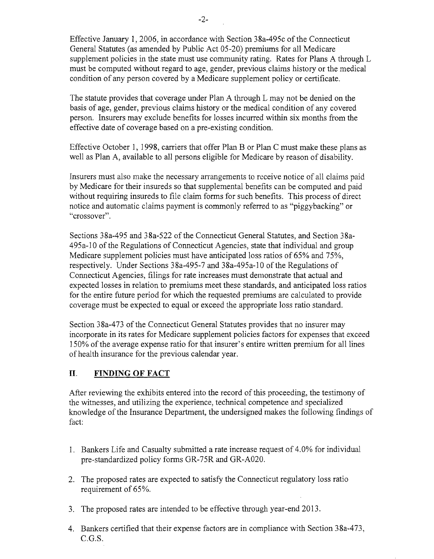Effective January 1,2006, in accordance with Section 38a-495c of the Connecticut General Statutes (as amended by Public Act 05-20) premiums for all Medicare supplement policies in the state must use community rating. Rates for Plans A through L must be computed without regard to age, gender, previous claims history or the medical condition of any person covered by a Medicare supplement policy or certificate.

The statute provides that coverage under Plan A through L may not be denied on the basis of age, gender, previous claims history or the medical condition of any covered person. Insurers may exclude benefits for losses incurred within six months from the effective date of coverage based on a pre-existing condition.

Effective October 1, 1998, carriers that offer Plan B or Plan C must make these plans as well as Plan A, available to all persons eligible for Medicare by reason of disability.

Insurers must also make the necessary arrangements to receive notice of all claims paid by Medicare for their insureds so that supplemental benefits can be computed and paid without requiring insureds to file claim forms for such benefits. This process of direct notice and automatic claims payment is commonly referred to as "piggybacking" or "crossover".

Sections 38a-495 and 38a-522 of the Connecticut General Statutes, and Section 38a-495a-10 of the Regulations of Connecticut Agencies, state that individual and group Medicare supplement policies must have anticipated loss ratios of 65% and 75%, respectively. Under Sections 38a-495-7 and 38a-495a-10 of the Regulations of Connecticut Agencies, filings for rate increases must demonstrate that actual and expected losses in relation to premiums meet these standards, and anticipated loss ratios for the entire future period for which the requested premiums are calculated to provide coverage must be expected to equal or exceed the appropriate loss ratio standard.

Section 38a-473 of the Connecticut General Statutes provides that no insurer may incorporate in its rates for Medicare supplement policies factors for expenses that exceed 150% of the average expense ratio for that insurer's entire written premium for all lines of health insurance for the previous calendar year.

# **II. FINDING OF FACT**

After reviewing the exhibits entered into the record of this proceeding, the testimony of the witnesses, and utilizing the experience, technical competence and specialized knowledge of the Insurance Department, the undersigned makes the following findings of fact:

- 1. Bankers Life and Casualty submitted a rate increase request of 4.0% for individual pre-standardized policy forms GR-75R and GR-A020.
- 2. The proposed rates are expected to satisfy the Connecticut regulatory loss ratio requirement of 65%.
- 3. The proposed rates are intended to be effective through year-end 2013.
- 4. Bankers certified that their expense factors are in compliance with Section 38a-473, C.G.S.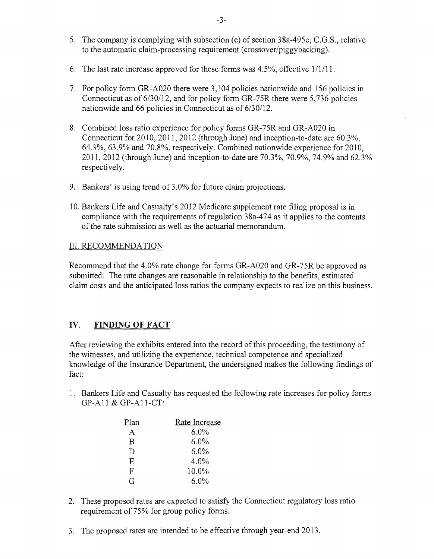- 5. The company is complying with subsection (e) of section 38a-495c, C.G.S., relative to the automatic claim-processing requirement (crossover/piggybacking).
- 6. The last rate increase approved for these forms was  $4.5\%$ , effective  $1/1/11$ .
- 7. For policy form GR-A020 there were 3,104 policies nationwide and 156 policies in Connecticut as of 6/30/12, and for policy form GR-75R there were 5,736 policies nationwide and 66 policies in Connecticut as of 6/30/12.
- 8. Combined loss ratio experience for policy forms GR-75R and GR-A020 in Connecticut for 2010,2011,2012 (through June) and inception-to-date are 60.3%, 64.3%,63.9% and 70.8%, respectively. Combined nationwide experience for 2010, 2011,2012 (through June) and inception-to-date are 70.3%,70.9%,74.9% and 62.3% respectively.
- 9. Bankers' is using trend of 3.0% for future claim projections.
- 10. Bankers Life and Casualty's 2012 Medicare supplement rate filing proposal is in compliance with the requirements of regulation 38a-474 as it applies to the contents of the rate submission as well as the actuarial memorandum.

#### III. RECOMMENDATION

Recommend that the 4.0% rate change for forms GR-A020 and GR-75R be approved as submitted. The rate changes are reasonable in relationship to the benefits, estimated claim costs and the anticipated loss ratios the company expects to realize on this business.

# IV. **FINDING OF FACT**

After reviewing the exhibits entered into the record of this proceeding, the testimony of the witnesses, and utilizing the experience, technical competence and specialized knowledge of the Insurance Department, the undersigned makes the following findings of fact:

1. Bankers Life and Casualty has requested the following rate increases for policy forms GP-All & GP-All-CT:

| Plan | Rate Increase |
|------|---------------|
| A    | $6.0\%$       |
| B    | $6.0\%$       |
| D    | 6.0%          |
| E    | 4.0%          |
| F    | 10.0%         |
| G    | $6.0\%$       |
|      |               |

- 2. These proposed rates are expected to satisfy the Connecticut regulatory loss ratio requirement of 75% for group policy forms.
- 3. The proposed rates are intended to be effective through year-end 2013.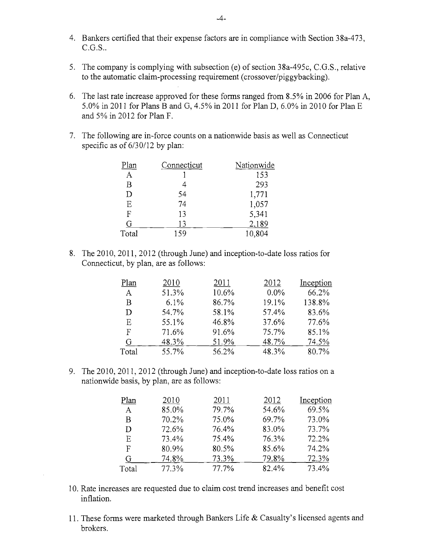- 4. Bankers certified that their expense factors are in compliance with Section 38a-473, C.G.S..
- 5. The company is complying with subsection (e) of section 38a-495c, C.G.S., relative to the automatic claim-processing requirement (crossover/piggybacking).
- 6. The last rate increase approved for these forms ranged from 8.5% in 2006 for Plan A, 5.0% in 2011 for Plans B and G, 4.5% in 2011 for Plan D, 6.0% in 2010 for Plan E and 5% in 2012 for Plan F.
- 7. The following are in-force counts on a nationwide basis as well as Connecticut specific as of 6/30/12 by plan:

| Plan         | Connecticut | Nationwide |
|--------------|-------------|------------|
| A            |             | 153        |
| B            |             | 293        |
| D            | 54          | 1,771      |
| E            | 74          | 1,057      |
| $\mathbf{F}$ | 13          | 5,341      |
| G            | 13          | 2,189      |
| Total        | 159         | 10,804     |

8. The 2010, 2011, 2012 (through June) and inception-to-date loss ratios for Connecticut, by plan, are as follows:

| Plan  | 2010  | 2011  | 2012    | Inception |
|-------|-------|-------|---------|-----------|
| A     | 51.3% | 10.6% | $0.0\%$ | 66.2%     |
| B     | 6.1%  | 86.7% | 19.1%   | 138.8%    |
| D     | 54.7% | 58.1% | 57.4%   | 83.6%     |
| Е     | 55.1% | 46.8% | 37.6%   | 77.6%     |
| F     | 71.6% | 91.6% | 75.7%   | 85.1%     |
| G     | 48.3% | 51.9% | 48.7%   | 74.5%     |
| Total | 55.7% | 56.2% | 48.3%   | 80.7%     |

9. The 2010, 2011, 2012 (through June) and inception-to-date loss ratios on a nationwide basis, by plan, are as follows:

| Plan  | 2010  | 2011  | 2012     | Inception |
|-------|-------|-------|----------|-----------|
| A     | 85.0% | 79.7% | 54.6%    | 69.5%     |
| В     | 70.2% | 75.0% | 69.7%    | 73.0%     |
| D     | 72.6% | 76.4% | 83.0%    | 73.7%     |
| E     | 73.4% | 75.4% | 76.3%    | 72.2%     |
| F     | 80.9% | 80.5% | 85.6%    | 74.2%     |
| G     | 74.8% | 73.3% | 79.8%    | 72.3%     |
| Total | 77.3% | 77.7% | $82.4\%$ | 73.4%     |

- 10. Rate increases are requested due to claim cost trend increases and benefit cost inflation.
- 11. These forms were marketed through Bankers Life & Casualty's licensed agents and brokers.